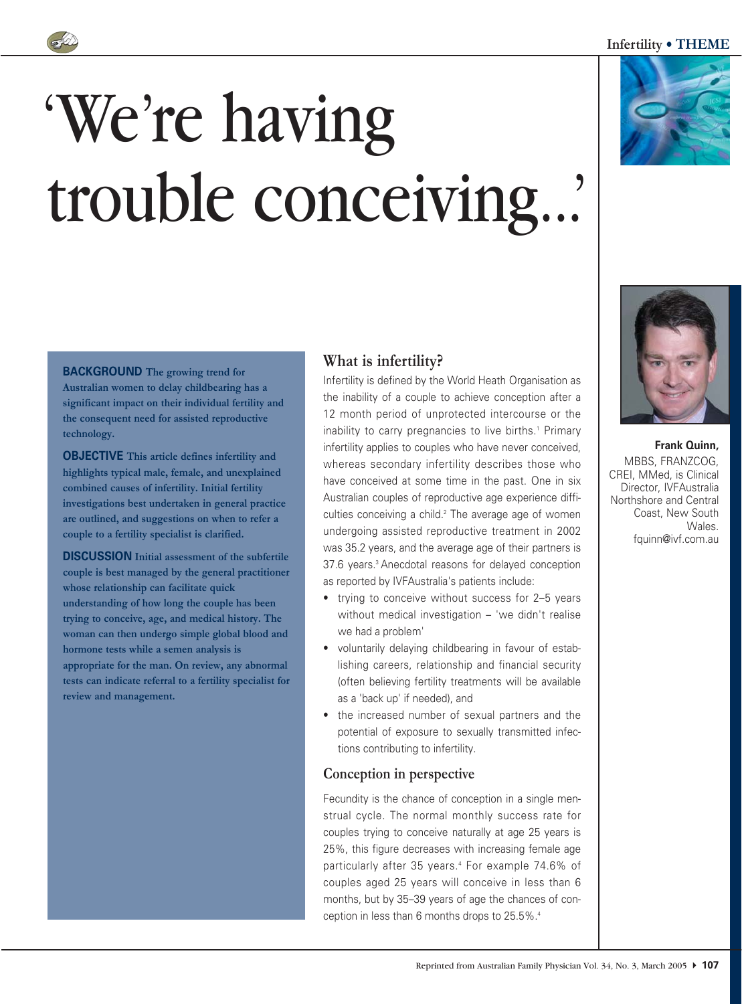### **Infertility • THEME**







**Frank Quinn,** MBBS, FRANZCOG, CREI, MMed, is Clinical Director, IVFAustralia Northshore and Central Coast, New South Wales. fquinn@ivf.com.au

**BACKGROUND The growing trend for**

**Australian women to delay childbearing has a significant impact on their individual fertility and the consequent need for assisted reproductive technology.** 

**OBJECTIVE This article defines infertility and highlights typical male, female, and unexplained combined causes of infertility. Initial fertility investigations best undertaken in general practice are outlined, and suggestions on when to refer a couple to a fertility specialist is clarified.**

**DISCUSSION Initial assessment of the subfertile couple is best managed by the general practitioner whose relationship can facilitate quick understanding of how long the couple has been trying to conceive, age, and medical history. The woman can then undergo simple global blood and hormone tests while a semen analysis is appropriate for the man. On review, any abnormal tests can indicate referral to a fertility specialist for review and management.**

# **What is infertility?**

Infertility is defined by the World Heath Organisation as the inability of a couple to achieve conception after a 12 month period of unprotected intercourse or the inability to carry pregnancies to live births.<sup>1</sup> Primary infertility applies to couples who have never conceived, whereas secondary infertility describes those who have conceived at some time in the past. One in six Australian couples of reproductive age experience difficulties conceiving a child.<sup>2</sup> The average age of women undergoing assisted reproductive treatment in 2002 was 35.2 years, and the average age of their partners is 37.6 years.<sup>3</sup> Anecdotal reasons for delayed conception as reported by IVFAustralia's patients include:

- trying to conceive without success for 2–5 years without medical investigation – 'we didn't realise we had a problem'
- voluntarily delaying childbearing in favour of establishing careers, relationship and financial security (often believing fertility treatments will be available as a 'back up' if needed), and
- the increased number of sexual partners and the potential of exposure to sexually transmitted infections contributing to infertility.

## **Conception in perspective**

Fecundity is the chance of conception in a single menstrual cycle. The normal monthly success rate for couples trying to conceive naturally at age 25 years is 25%, this figure decreases with increasing female age particularly after 35 years.<sup>4</sup> For example 74.6% of couples aged 25 years will conceive in less than 6 months, but by 35–39 years of age the chances of conception in less than 6 months drops to 25.5%.4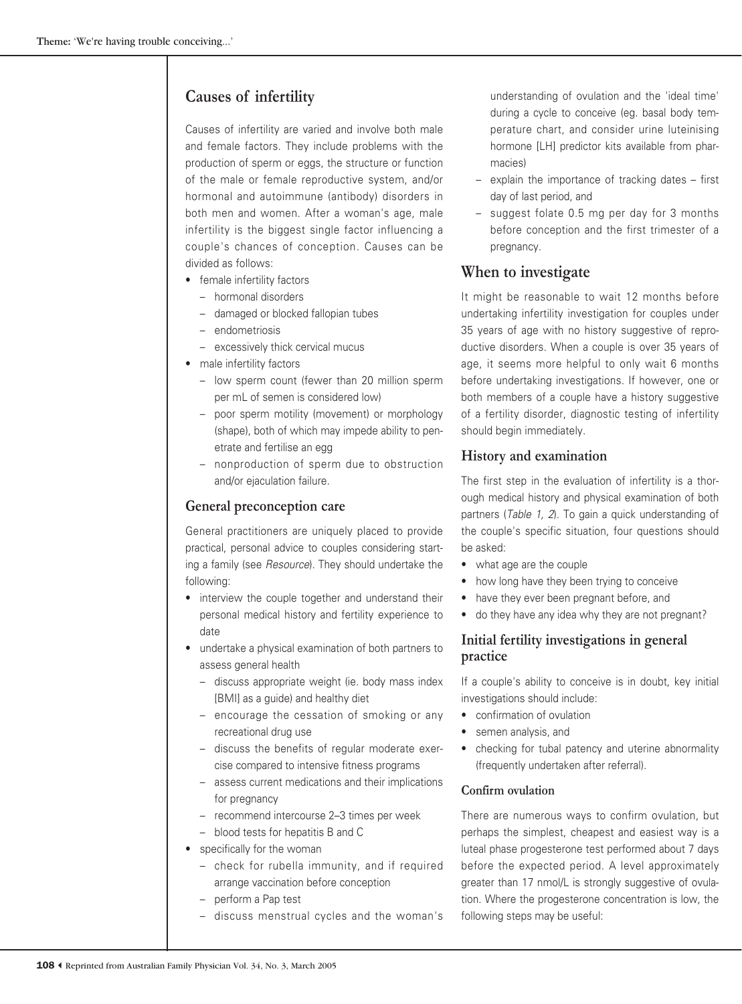# **Causes of infertility**

Causes of infertility are varied and involve both male and female factors. They include problems with the production of sperm or eggs, the structure or function of the male or female reproductive system, and/or hormonal and autoimmune (antibody) disorders in both men and women. After a woman's age, male infertility is the biggest single factor influencing a couple's chances of conception. Causes can be divided as follows:

- female infertility factors
	- hormonal disorders
	- damaged or blocked fallopian tubes
	- endometriosis
	- excessively thick cervical mucus
- male infertility factors
	- low sperm count (fewer than 20 million sperm per mL of semen is considered low)
	- poor sperm motility (movement) or morphology (shape), both of which may impede ability to penetrate and fertilise an egg
	- nonproduction of sperm due to obstruction and/or ejaculation failure.

## **General preconception care**

General practitioners are uniquely placed to provide practical, personal advice to couples considering starting a family (see *Resource*). They should undertake the following:

- interview the couple together and understand their personal medical history and fertility experience to date
- undertake a physical examination of both partners to assess general health
	- discuss appropriate weight (ie. body mass index [BMI] as a guide) and healthy diet
	- encourage the cessation of smoking or any recreational drug use
	- discuss the benefits of regular moderate exercise compared to intensive fitness programs
	- assess current medications and their implications for pregnancy
	- recommend intercourse 2–3 times per week
	- blood tests for hepatitis B and C
- specifically for the woman
	- check for rubella immunity, and if required arrange vaccination before conception
	- perform a Pap test
	- discuss menstrual cycles and the woman's

understanding of ovulation and the 'ideal time' during a cycle to conceive (eg. basal body temperature chart, and consider urine luteinising hormone [LH] predictor kits available from pharmacies)

- explain the importance of tracking dates first day of last period, and
- suggest folate 0.5 mg per day for 3 months before conception and the first trimester of a pregnancy.

# **When to investigate**

It might be reasonable to wait 12 months before undertaking infertility investigation for couples under 35 years of age with no history suggestive of reproductive disorders. When a couple is over 35 years of age, it seems more helpful to only wait 6 months before undertaking investigations. If however, one or both members of a couple have a history suggestive of a fertility disorder, diagnostic testing of infertility should begin immediately.

### **History and examination**

The first step in the evaluation of infertility is a thorough medical history and physical examination of both partners (*Table 1, 2*). To gain a quick understanding of the couple's specific situation, four questions should be asked:

- what age are the couple
- how long have they been trying to conceive
- have they ever been pregnant before, and
- do they have any idea why they are not pregnant?

## **Initial fertility investigations in general practice**

If a couple's ability to conceive is in doubt, key initial investigations should include:

- confirmation of ovulation
- semen analysis, and
- checking for tubal patency and uterine abnormality (frequently undertaken after referral).

### **Confirm ovulation**

There are numerous ways to confirm ovulation, but perhaps the simplest, cheapest and easiest way is a luteal phase progesterone test performed about 7 days before the expected period. A level approximately greater than 17 nmol/L is strongly suggestive of ovulation. Where the progesterone concentration is low, the following steps may be useful: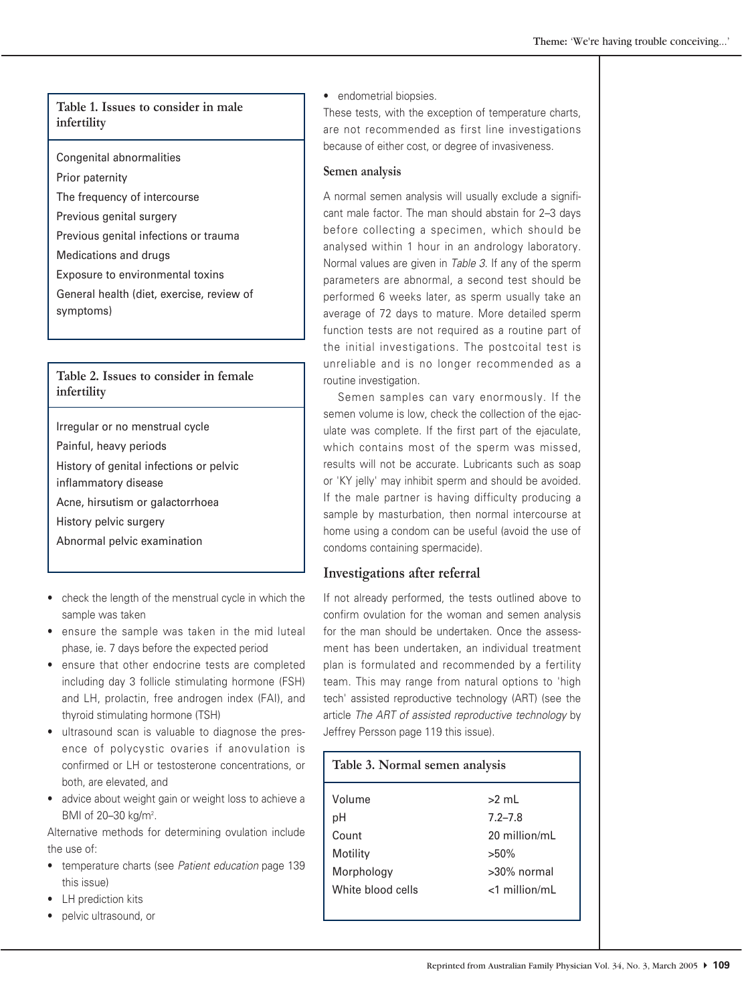### **Table 1. Issues to consider in male infertility**

Congenital abnormalities

Prior paternity

The frequency of intercourse

Previous genital surgery

Previous genital infections or trauma

Medications and drugs

Exposure to environmental toxins

General health (diet, exercise, review of symptoms)

### **Table 2. Issues to consider in female infertility**

Irregular or no menstrual cycle

Painful, heavy periods

History of genital infections or pelvic

inflammatory disease

Acne, hirsutism or galactorrhoea

History pelvic surgery

Abnormal pelvic examination

- check the length of the menstrual cycle in which the sample was taken
- ensure the sample was taken in the mid luteal phase, ie. 7 days before the expected period
- ensure that other endocrine tests are completed including day 3 follicle stimulating hormone (FSH) and LH, prolactin, free androgen index (FAI), and thyroid stimulating hormone (TSH)
- ultrasound scan is valuable to diagnose the presence of polycystic ovaries if anovulation is confirmed or LH or testosterone concentrations, or both, are elevated, and
- advice about weight gain or weight loss to achieve a BMI of 20–30 kg/m<sup>2</sup>.

Alternative methods for determining ovulation include the use of:

- temperature charts (see *Patient education* page 139 this issue)
- LH prediction kits
- pelvic ultrasound, or

• endometrial biopsies.

These tests, with the exception of temperature charts, are not recommended as first line investigations because of either cost, or degree of invasiveness.

### **Semen analysis**

A normal semen analysis will usually exclude a significant male factor. The man should abstain for 2–3 days before collecting a specimen, which should be analysed within 1 hour in an andrology laboratory. Normal values are given in *Table 3*. If any of the sperm parameters are abnormal, a second test should be performed 6 weeks later, as sperm usually take an average of 72 days to mature. More detailed sperm function tests are not required as a routine part of the initial investigations. The postcoital test is unreliable and is no longer recommended as a routine investigation.

Semen samples can vary enormously. If the semen volume is low, check the collection of the ejaculate was complete. If the first part of the ejaculate, which contains most of the sperm was missed. results will not be accurate. Lubricants such as soap or 'KY jelly' may inhibit sperm and should be avoided. If the male partner is having difficulty producing a sample by masturbation, then normal intercourse at home using a condom can be useful (avoid the use of condoms containing spermacide).

## **Investigations after referral**

If not already performed, the tests outlined above to confirm ovulation for the woman and semen analysis for the man should be undertaken. Once the assessment has been undertaken, an individual treatment plan is formulated and recommended by a fertility team. This may range from natural options to 'high tech' assisted reproductive technology (ART) (see the article *The ART of assisted reproductive technology* by Jeffrey Persson page 119 this issue).

| Table 3. Normal semen analysis |                  |
|--------------------------------|------------------|
| Volume                         | $>2$ ml          |
| pH                             | $7.2 - 7.8$      |
| Count                          | 20 million/mL    |
| Motility                       | $>50\%$          |
| Morphology                     | >30% normal      |
| White blood cells              | $<$ 1 million/mL |